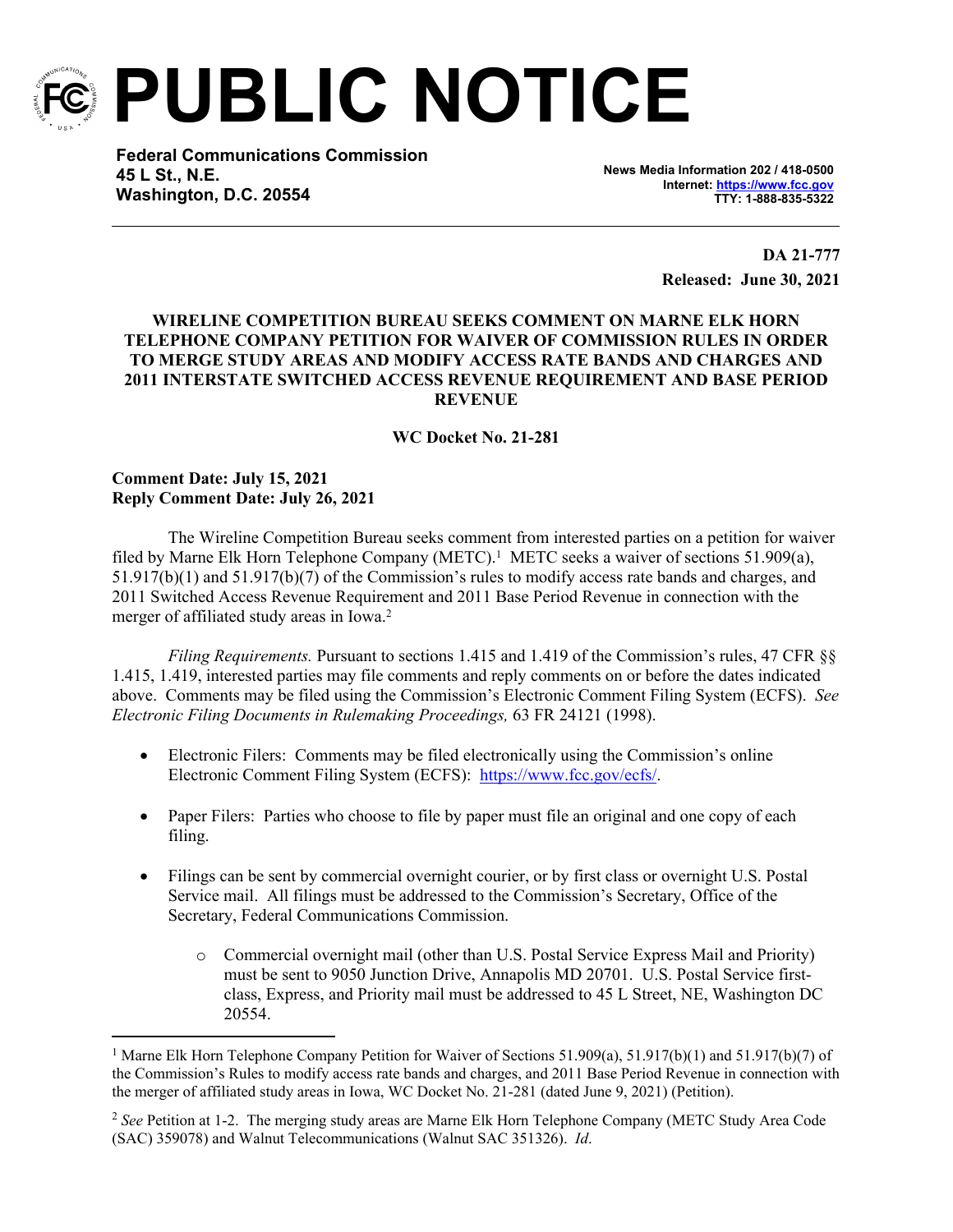

**PUBLIC NOTICE**

**Federal Communications Commission 45 L St., N.E. Washington, D.C. 20554**

**News Media Information 202 / 418-0500 Internet:<https://www.fcc.gov> TTY: 1-888-835-5322**

> **DA 21-777 Released: June 30, 2021**

## **WIRELINE COMPETITION BUREAU SEEKS COMMENT ON MARNE ELK HORN TELEPHONE COMPANY PETITION FOR WAIVER OF COMMISSION RULES IN ORDER TO MERGE STUDY AREAS AND MODIFY ACCESS RATE BANDS AND CHARGES AND 2011 INTERSTATE SWITCHED ACCESS REVENUE REQUIREMENT AND BASE PERIOD REVENUE**

## **WC Docket No. 21-281**

## **Comment Date: July 15, 2021 Reply Comment Date: July 26, 2021**

The Wireline Competition Bureau seeks comment from interested parties on a petition for waiver filed by Marne Elk Horn Telephone Company (METC).<sup>1</sup> METC seeks a waiver of sections 51.909(a), 51.917(b)(1) and 51.917(b)(7) of the Commission's rules to modify access rate bands and charges, and 2011 Switched Access Revenue Requirement and 2011 Base Period Revenue in connection with the merger of affiliated study areas in Iowa.<sup>2</sup>

*Filing Requirements.* Pursuant to sections 1.415 and 1.419 of the Commission's rules, 47 CFR §§ 1.415, 1.419, interested parties may file comments and reply comments on or before the dates indicated above. Comments may be filed using the Commission's Electronic Comment Filing System (ECFS). *See Electronic Filing Documents in Rulemaking Proceedings,* 63 FR 24121 (1998).

- Electronic Filers: Comments may be filed electronically using the Commission's online Electronic Comment Filing System (ECFS): <https://www.fcc.gov/ecfs/>.
- Paper Filers: Parties who choose to file by paper must file an original and one copy of each filing.
- Filings can be sent by commercial overnight courier, or by first class or overnight U.S. Postal Service mail. All filings must be addressed to the Commission's Secretary, Office of the Secretary, Federal Communications Commission.
	- o Commercial overnight mail (other than U.S. Postal Service Express Mail and Priority) must be sent to 9050 Junction Drive, Annapolis MD 20701. U.S. Postal Service firstclass, Express, and Priority mail must be addressed to 45 L Street, NE, Washington DC 20554.

<sup>&</sup>lt;sup>1</sup> Marne Elk Horn Telephone Company Petition for Waiver of Sections 51.909(a), 51.917(b)(1) and 51.917(b)(7) of the Commission's Rules to modify access rate bands and charges, and 2011 Base Period Revenue in connection with the merger of affiliated study areas in Iowa, WC Docket No. 21-281 (dated June 9, 2021) (Petition).

<sup>2</sup> *See* Petition at 1-2. The merging study areas are Marne Elk Horn Telephone Company (METC Study Area Code (SAC) 359078) and Walnut Telecommunications (Walnut SAC 351326). *Id*.